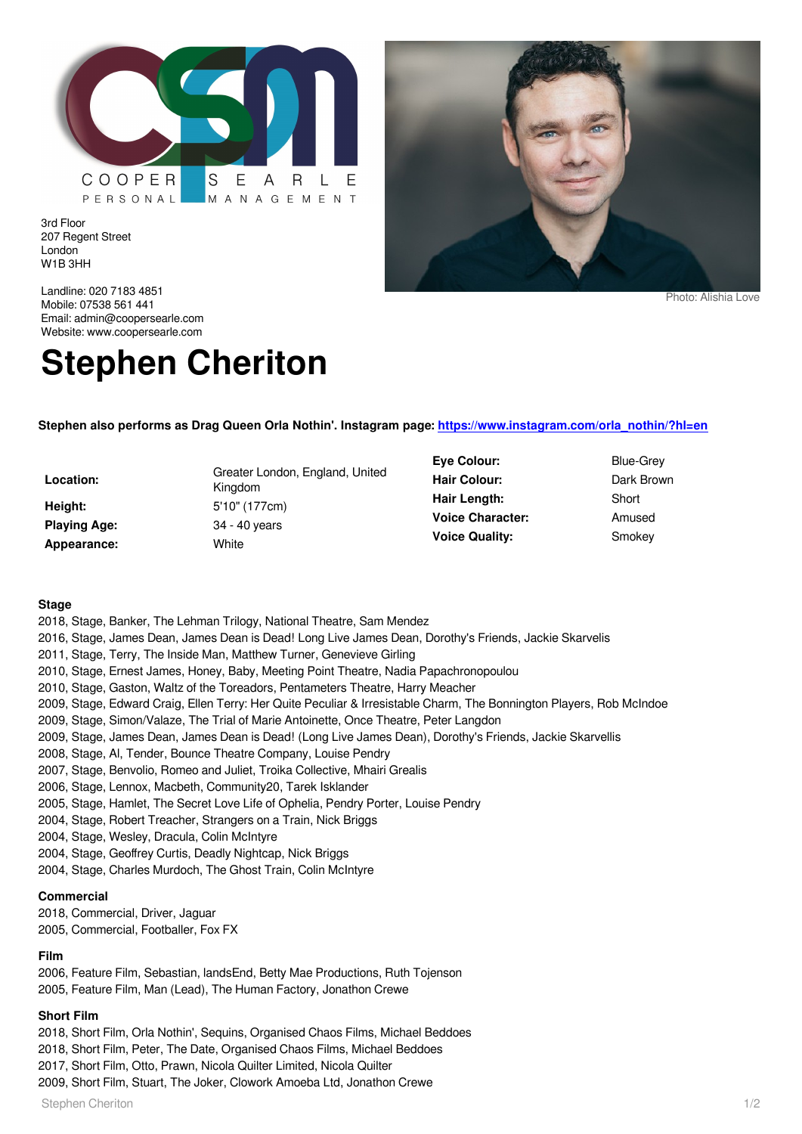

3rd Floor 207 Regent Street London W1B 3HH

Landline: 020 7183 4851 Mobile: 07538 561 441 Email: admin@coopersearle.com Website: www.coopersearle.com

# **Stephen Cheriton**

**Stephen also performs as Drag Queen Orla Nothin'. Instagram page: [https://www.instagram.com/orla\\_nothin/?hl=en](https://www.instagram.com/orla_nothin/?hl=en)**

| Location:           | Greater London, England, United<br>Kingdom |
|---------------------|--------------------------------------------|
| Height:             | 5'10" (177cm)                              |
| <b>Playing Age:</b> | 34 - 40 years                              |
| Appearance:         | White                                      |

- **Eye Colour:** Blue-Grey **Hair Colour:** Dark Brown **Hair Length:** Short **Voice Character:** Amused **Voice Quality:** Smokey
	-

Photo: Alishia Love

#### **Stage**

- 2018, Stage, Banker, The Lehman Trilogy, National Theatre, Sam Mendez
- 2016, Stage, James Dean, James Dean is Dead! Long Live James Dean, Dorothy's Friends, Jackie Skarvelis
- 2011, Stage, Terry, The Inside Man, Matthew Turner, Genevieve Girling
- 2010, Stage, Ernest James, Honey, Baby, Meeting Point Theatre, Nadia Papachronopoulou
- 2010, Stage, Gaston, Waltz of the Toreadors, Pentameters Theatre, Harry Meacher
- 2009, Stage, Edward Craig, Ellen Terry: Her Quite Peculiar & Irresistable Charm, The Bonnington Players, Rob McIndoe
- 2009, Stage, Simon/Valaze, The Trial of Marie Antoinette, Once Theatre, Peter Langdon
- 2009, Stage, James Dean, James Dean is Dead! (Long Live James Dean), Dorothy's Friends, Jackie Skarvellis
- 2008, Stage, Al, Tender, Bounce Theatre Company, Louise Pendry
- 2007, Stage, Benvolio, Romeo and Juliet, Troika Collective, Mhairi Grealis
- 2006, Stage, Lennox, Macbeth, Community20, Tarek Isklander
- 2005, Stage, Hamlet, The Secret Love Life of Ophelia, Pendry Porter, Louise Pendry
- 2004, Stage, Robert Treacher, Strangers on a Train, Nick Briggs
- 2004, Stage, Wesley, Dracula, Colin McIntyre
- 2004, Stage, Geoffrey Curtis, Deadly Nightcap, Nick Briggs
- 2004, Stage, Charles Murdoch, The Ghost Train, Colin McIntyre

# **Commercial**

2018, Commercial, Driver, Jaguar 2005, Commercial, Footballer, Fox FX

# **Film**

2006, Feature Film, Sebastian, landsEnd, Betty Mae Productions, Ruth Tojenson 2005, Feature Film, Man (Lead), The Human Factory, Jonathon Crewe

# **Short Film**

2018, Short Film, Orla Nothin', Sequins, Organised Chaos Films, Michael Beddoes

2018, Short Film, Peter, The Date, Organised Chaos Films, Michael Beddoes

2017, Short Film, Otto, Prawn, Nicola Quilter Limited, Nicola Quilter

2009, Short Film, Stuart, The Joker, Clowork Amoeba Ltd, Jonathon Crewe